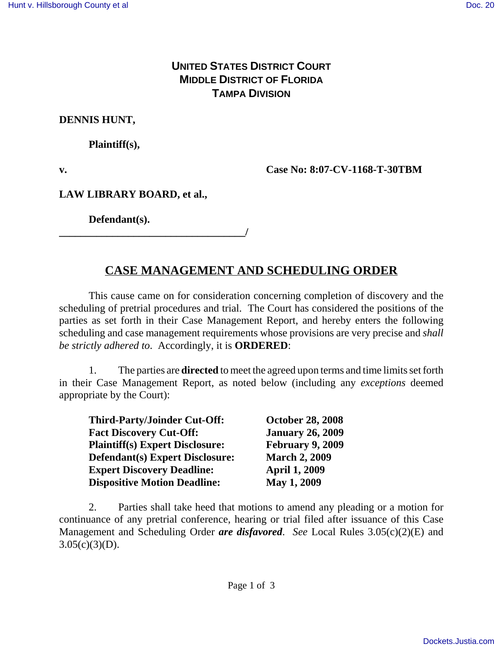### **UNITED STATES DISTRICT COURT MIDDLE DISTRICT OF FLORIDA TAMPA DIVISION**

#### **DENNIS HUNT,**

**Plaintiff(s),**

**v. Case No: 8:07-CV-1168-T-30TBM** 

### **LAW LIBRARY BOARD, et al.,**

**Defendant(s).**

**\_\_\_\_\_\_\_\_\_\_\_\_\_\_\_\_\_\_\_\_\_\_\_\_\_\_\_\_\_\_\_\_\_\_\_/**

## **CASE MANAGEMENT AND SCHEDULING ORDER**

This cause came on for consideration concerning completion of discovery and the scheduling of pretrial procedures and trial. The Court has considered the positions of the parties as set forth in their Case Management Report, and hereby enters the following scheduling and case management requirements whose provisions are very precise and *shall be strictly adhered to*. Accordingly, it is **ORDERED**:

1. The parties are **directed** to meet the agreed upon terms and time limits set forth in their Case Management Report, as noted below (including any *exceptions* deemed appropriate by the Court):

| <b>Third-Party/Joinder Cut-Off:</b>    | <b>October 28, 2008</b> |
|----------------------------------------|-------------------------|
| <b>Fact Discovery Cut-Off:</b>         | <b>January 26, 2009</b> |
| <b>Plaintiff(s) Expert Disclosure:</b> | February 9, 2009        |
| <b>Defendant(s) Expert Disclosure:</b> | <b>March 2, 2009</b>    |
| <b>Expert Discovery Deadline:</b>      | <b>April 1, 2009</b>    |
| <b>Dispositive Motion Deadline:</b>    | May 1, 2009             |

2. Parties shall take heed that motions to amend any pleading or a motion for continuance of any pretrial conference, hearing or trial filed after issuance of this Case Management and Scheduling Order *are disfavored*. *See* Local Rules 3.05(c)(2)(E) and  $3.05(c)(3)(D)$ .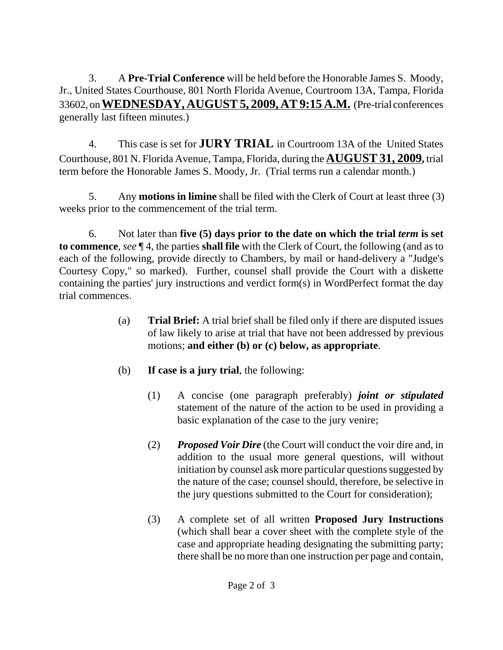3. A **Pre-Trial Conference** will be held before the Honorable James S. Moody, Jr., United States Courthouse, 801 North Florida Avenue, Courtroom 13A, Tampa, Florida 33602, on **WEDNESDAY, AUGUST 5, 2009, AT 9:15 A.M.** (Pre-trial conferences generally last fifteen minutes.)

4. This case is set for **JURY TRIAL** in Courtroom 13A of the United States Courthouse, 801 N. Florida Avenue, Tampa, Florida, during the **AUGUST 31, 2009,** trial term before the Honorable James S. Moody, Jr. (Trial terms run a calendar month.)

5. Any **motions in limine** shall be filed with the Clerk of Court at least three (3) weeks prior to the commencement of the trial term.

6. Not later than **five (5) days prior to the date on which the trial** *term* **is set to commence**, *see* ¶ 4, the parties **shall file** with the Clerk of Court, the following (and as to each of the following, provide directly to Chambers, by mail or hand-delivery a "Judge's Courtesy Copy," so marked). Further, counsel shall provide the Court with a diskette containing the parties' jury instructions and verdict form(s) in WordPerfect format the day trial commences.

- (a) **Trial Brief:** A trial brief shall be filed only if there are disputed issues of law likely to arise at trial that have not been addressed by previous motions; **and either (b) or (c) below, as appropriate**.
- (b) **If case is a jury trial**, the following:
	- (1) A concise (one paragraph preferably) *joint or stipulated* statement of the nature of the action to be used in providing a basic explanation of the case to the jury venire;
	- (2) *Proposed Voir Dire* (the Court will conduct the voir dire and, in addition to the usual more general questions, will without initiation by counsel ask more particular questions suggested by the nature of the case; counsel should, therefore, be selective in the jury questions submitted to the Court for consideration);
	- (3) A complete set of all written **Proposed Jury Instructions** (which shall bear a cover sheet with the complete style of the case and appropriate heading designating the submitting party; there shall be no more than one instruction per page and contain,